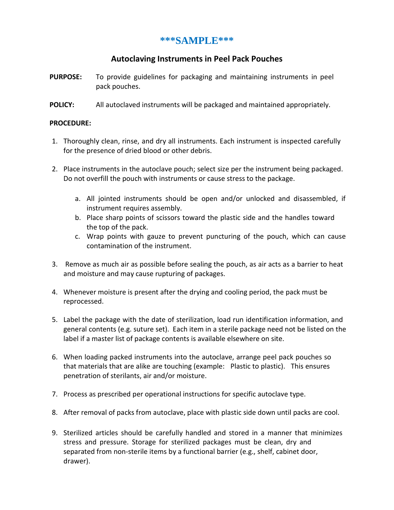## **\*\*\*SAMPLE\*\*\***

## **Autoclaving Instruments in Peel Pack Pouches**

- **PURPOSE:** To provide guidelines for packaging and maintaining instruments in peel pack pouches.
- **POLICY:** All autoclaved instruments will be packaged and maintained appropriately.

## **PROCEDURE:**

- 1. Thoroughly clean, rinse, and dry all instruments. Each instrument is inspected carefully for the presence of dried blood or other debris.
- 2. Place instruments in the autoclave pouch; select size per the instrument being packaged. Do not overfill the pouch with instruments or cause stress to the package.
	- a. All jointed instruments should be open and/or unlocked and disassembled, if instrument requires assembly.
	- b. Place sharp points of scissors toward the plastic side and the handles toward the top of the pack.
	- c. Wrap points with gauze to prevent puncturing of the pouch, which can cause contamination of the instrument.
- 3. Remove as much air as possible before sealing the pouch, as air acts as a barrier to heat and moisture and may cause rupturing of packages.
- 4. Whenever moisture is present after the drying and cooling period, the pack must be reprocessed.
- 5. Label the package with the date of sterilization, load run identification information, and general contents (e.g. suture set). Each item in a sterile package need not be listed on the label if a master list of package contents is available elsewhere on site.
- 6. When loading packed instruments into the autoclave, arrange peel pack pouches so that materials that are alike are touching (example: Plastic to plastic). This ensures penetration of sterilants, air and/or moisture.
- 7. Process as prescribed per operational instructions for specific autoclave type.
- 8. After removal of packs from autoclave, place with plastic side down until packs are cool.
- 9. Sterilized articles should be carefully handled and stored in a manner that minimizes stress and pressure. Storage for sterilized packages must be clean, dry and separated from non-sterile items by a functional barrier (e.g., shelf, cabinet door, drawer).